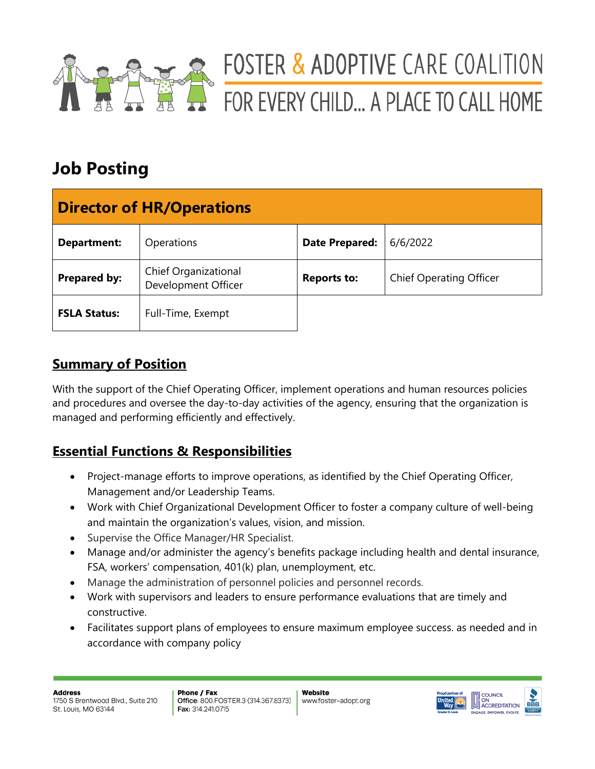

# FOSTER & ADOPTIVE CARE COALITION FOR EVERY CHILD... A PLACE TO CALL HOME

## **Job Posting**

| <b>Director of HR/Operations</b> |                                             |                       |                                |  |  |
|----------------------------------|---------------------------------------------|-----------------------|--------------------------------|--|--|
| <b>Department:</b>               | Operations                                  | <b>Date Prepared:</b> | 6/6/2022                       |  |  |
| Prepared by:                     | Chief Organizational<br>Development Officer | <b>Reports to:</b>    | <b>Chief Operating Officer</b> |  |  |
| <b>FSLA Status:</b>              | Full-Time, Exempt                           |                       |                                |  |  |

## **Summary of Position**

With the support of the Chief Operating Officer, implement operations and human resources policies and procedures and oversee the day-to-day activities of the agency, ensuring that the organization is managed and performing efficiently and effectively.

## **Essential Functions & Responsibilities**

- Project-manage efforts to improve operations, as identified by the Chief Operating Officer, Management and/or Leadership Teams.
- Work with Chief Organizational Development Officer to foster a company culture of well-being and maintain the organization's values, vision, and mission.
- Supervise the Office Manager/HR Specialist.
- Manage and/or administer the agency's benefits package including health and dental insurance, FSA, workers' compensation, 401(k) plan, unemployment, etc.
- Manage the administration of personnel policies and personnel records.
- Work with supervisors and leaders to ensure performance evaluations that are timely and constructive.
- Facilitates support plans of employees to ensure maximum employee success. as needed and in accordance with company policy

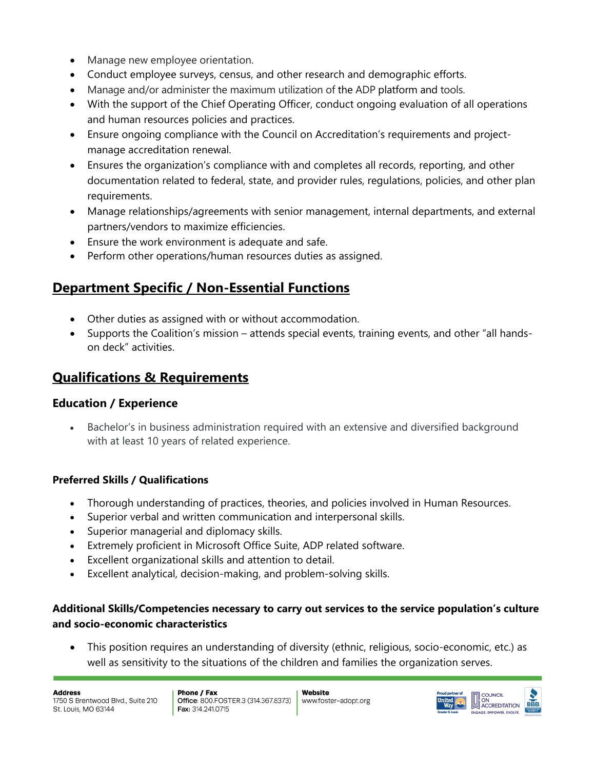- Manage new employee orientation.
- Conduct employee surveys, census, and other research and demographic efforts.
- Manage and/or administer the maximum utilization of the ADP platform and tools.
- With the support of the Chief Operating Officer, conduct ongoing evaluation of all operations and human resources policies and practices.
- Ensure ongoing compliance with the Council on Accreditation's requirements and projectmanage accreditation renewal.
- Ensures the organization's compliance with and completes all records, reporting, and other documentation related to federal, state, and provider rules, regulations, policies, and other plan requirements.
- Manage relationships/agreements with senior management, internal departments, and external partners/vendors to maximize efficiencies.
- Ensure the work environment is adequate and safe.
- Perform other operations/human resources duties as assigned.

## **Department Specific / Non-Essential Functions**

- Other duties as assigned with or without accommodation.
- Supports the Coalition's mission attends special events, training events, and other "all handson deck" activities.

### **Qualifications & Requirements**

#### **Education / Experience**

Bachelor's in business administration required with an extensive and diversified background with at least 10 years of related experience.

#### **Preferred Skills / Qualifications**

- Thorough understanding of practices, theories, and policies involved in Human Resources.
- Superior verbal and written communication and interpersonal skills.
- Superior managerial and diplomacy skills.
- Extremely proficient in Microsoft Office Suite, ADP related software.
- Excellent organizational skills and attention to detail.
- Excellent analytical, decision-making, and problem-solving skills.

#### **Additional Skills/Competencies necessary to carry out services to the service population's culture and socio-economic characteristics**

• This position requires an understanding of diversity (ethnic, religious, socio-economic, etc.) as well as sensitivity to the situations of the children and families the organization serves.

**Address** 1750 S Brentwood Blvd., Suite 210 St. Louis, MO 63144

Phone / Fax Office: 800.FOSTER.3 (314.367.8373) Fax: 314.241.0715

Website www.foster-adopt.org

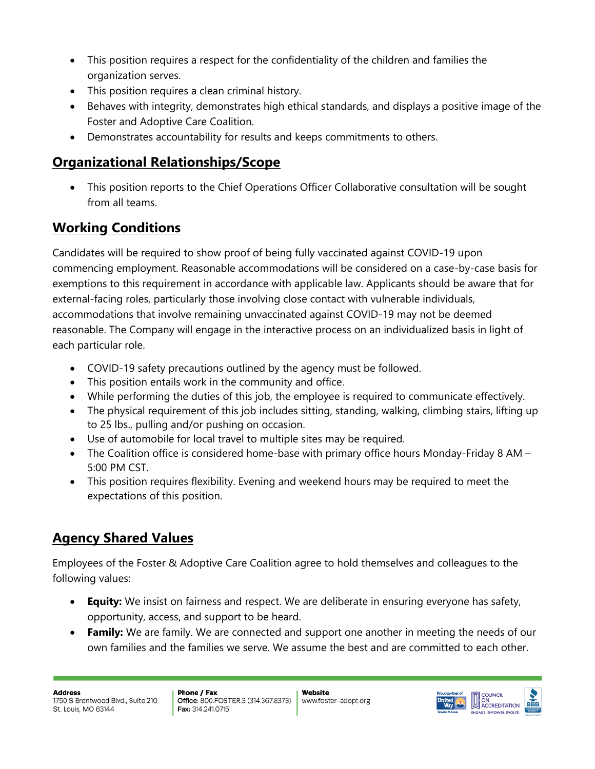- This position requires a respect for the confidentiality of the children and families the organization serves.
- This position requires a clean criminal history.
- Behaves with integrity, demonstrates high ethical standards, and displays a positive image of the Foster and Adoptive Care Coalition.
- Demonstrates accountability for results and keeps commitments to others.

## **Organizational Relationships/Scope**

• This position reports to the Chief Operations Officer Collaborative consultation will be sought from all teams.

## **Working Conditions**

Candidates will be required to show proof of being fully vaccinated against COVID-19 upon commencing employment. Reasonable accommodations will be considered on a case-by-case basis for exemptions to this requirement in accordance with applicable law. Applicants should be aware that for external-facing roles, particularly those involving close contact with vulnerable individuals, accommodations that involve remaining unvaccinated against COVID-19 may not be deemed reasonable. The Company will engage in the interactive process on an individualized basis in light of each particular role.

- COVID-19 safety precautions outlined by the agency must be followed.
- This position entails work in the community and office.
- While performing the duties of this job, the employee is required to communicate effectively.
- The physical requirement of this job includes sitting, standing, walking, climbing stairs, lifting up to 25 lbs., pulling and/or pushing on occasion.
- Use of automobile for local travel to multiple sites may be required.
- The Coalition office is considered home-base with primary office hours Monday-Friday 8 AM 5:00 PM CST.
- This position requires flexibility. Evening and weekend hours may be required to meet the expectations of this position.

## **Agency Shared Values**

Employees of the Foster & Adoptive Care Coalition agree to hold themselves and colleagues to the following values:

- **Equity:** We insist on fairness and respect. We are deliberate in ensuring everyone has safety, opportunity, access, and support to be heard.
- **Family:** We are family. We are connected and support one another in meeting the needs of our own families and the families we serve. We assume the best and are committed to each other.